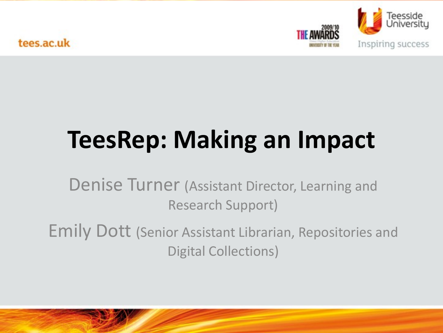tees.ac.uk



# **TeesRep: Making an Impact**

Denise Turner (Assistant Director, Learning and Research Support)

Emily Dott (Senior Assistant Librarian, Repositories and Digital Collections)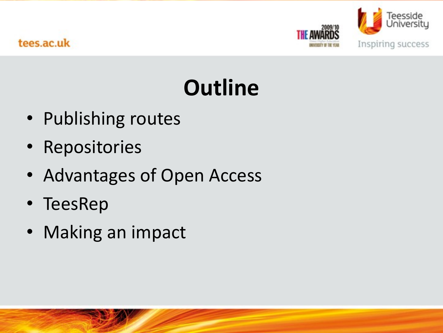

# **Outline**

- Publishing routes
- Repositories
- Advantages of Open Access
- TeesRep
- Making an impact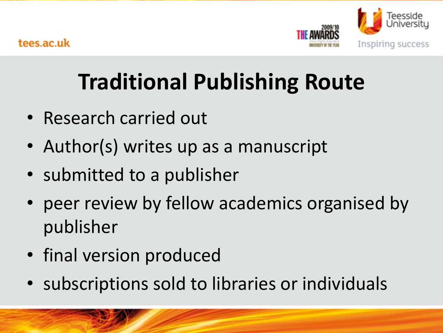

## **Traditional Publishing Route**

- Research carried out
- Author(s) writes up as a manuscript
- submitted to a publisher
- peer review by fellow academics organised by publisher
- final version produced
- subscriptions sold to libraries or individuals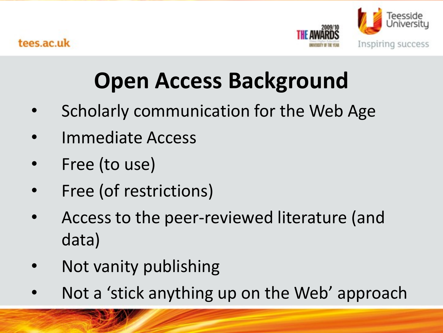

## **Open Access Background**

- Scholarly communication for the Web Age
- Immediate Access
- Free (to use)
- Free (of restrictions)
- Access to the peer-reviewed literature (and data)
- Not vanity publishing
- Not a 'stick anything up on the Web' approach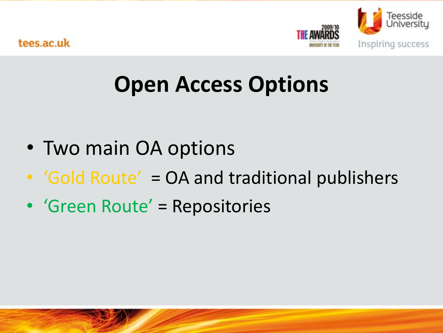

### **Open Access Options**

- Two main OA options
- 'Gold Route' = OA and traditional publishers
- 'Green Route' = Repositories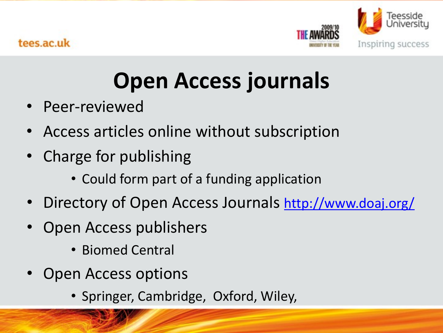

### **Open Access journals**

- Peer-reviewed
- Access articles online without subscription
- Charge for publishing
	- Could form part of a funding application
- Directory of Open Access Journals <http://www.doaj.org/>
- Open Access publishers
	- Biomed Central
- Open Access options
	- Springer, Cambridge, Oxford, Wiley,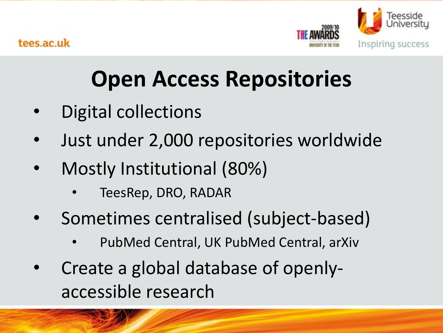

## **Open Access Repositories**

- Digital collections
- Just under 2,000 repositories worldwide
- Mostly Institutional (80%)
	- TeesRep, DRO, RADAR
- Sometimes centralised (subject-based)
	- PubMed Central, UK PubMed Central, arXiv
- Create a global database of openlyaccessible research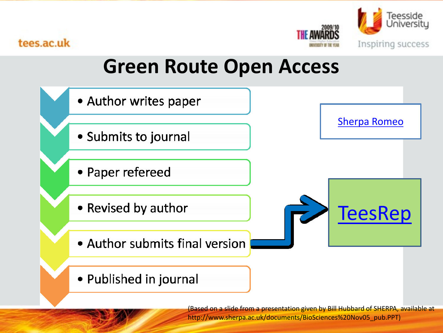

#### tees.ac.uk

#### **Green Route Open Access**



(Based on a slide from a presentation given by Bill Hubbard of SHERPA, available at http://www.sherpa.ac.uk/documents/BioSciences%20Nov05\_pub.PPT)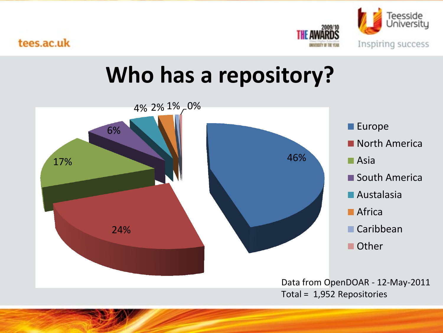

#### tees.ac.uk

#### **Who has a repository?**

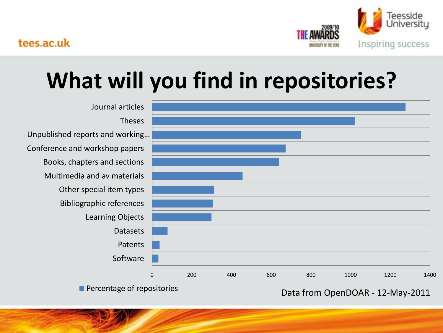

### **What will you find in repositories?**



**Percentage of repositories Data from OpenDOAR - 12-May-2011**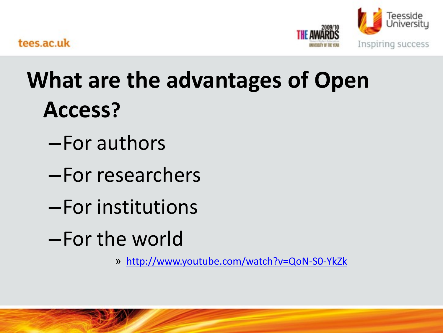

### **What are the advantages of Open Access?**

- –For authors
- –For researchers
- –For institutions
- –For the world
	- » <http://www.youtube.com/watch?v=QoN-S0-YkZk>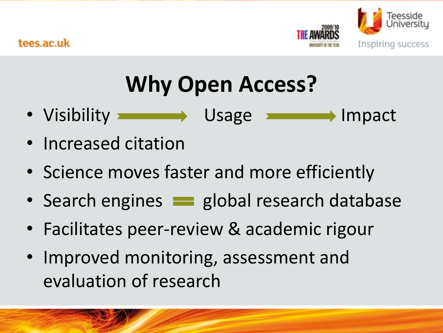

## **Why Open Access?**

- Visibility Usage Inpact
- Increased citation
- Science moves faster and more efficiently
- Search engines **superfield and research database**
- Facilitates peer-review & academic rigour
- Improved monitoring, assessment and evaluation of research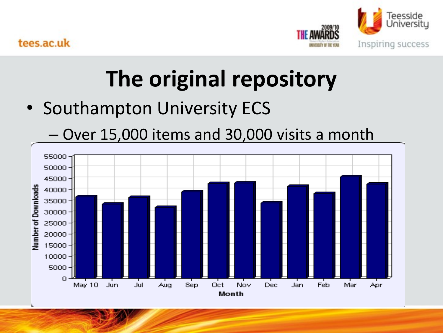

### **The original repository**

• Southampton University ECS

– Over 15,000 items and 30,000 visits a month55000 50000 45000 Number of Downloads 40000 35000 30000 25000 20000 15000 10000 5000  $\Omega$ May 10 Jun Jul Aug Sep Oct Nov Mar Dec Jan Feb Apr Month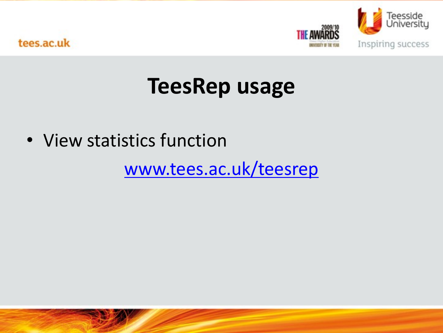

#### **TeesRep usage**

• View statistics function

[www.tees.ac.uk/teesrep](http://www.tees.ac.uk/teesrep)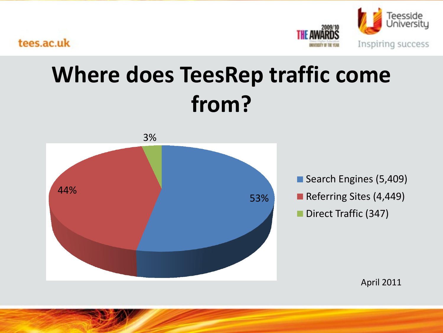



#### **Where does TeesRep traffic come from?**



Search Engines (5,409) Referring Sites (4,449) Direct Traffic (347)

April 2011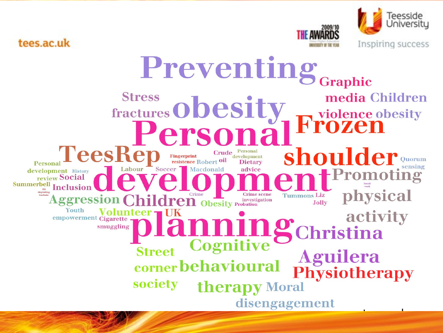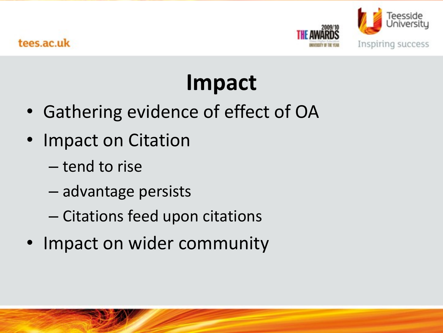

## **Impact**

- Gathering evidence of effect of OA
- Impact on Citation
	- tend to rise
	- advantage persists
	- Citations feed upon citations
- Impact on wider community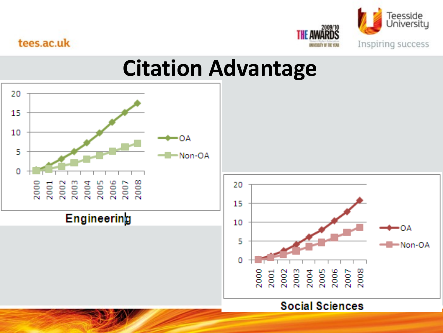

#### tees.ac.uk

#### **Citation Advantage**

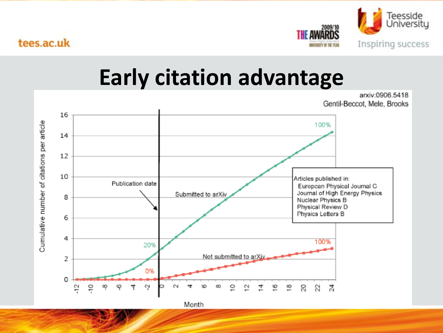

arxiv:0906.5418

#### **Early citation advantage**



Month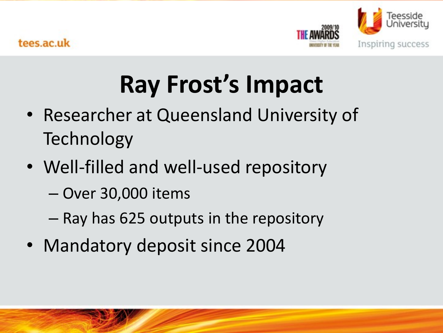

# **Ray Frost's Impact**

- Researcher at Queensland University of **Technology**
- Well-filled and well-used repository
	- Over 30,000 items
	- Ray has 625 outputs in the repository
- Mandatory deposit since 2004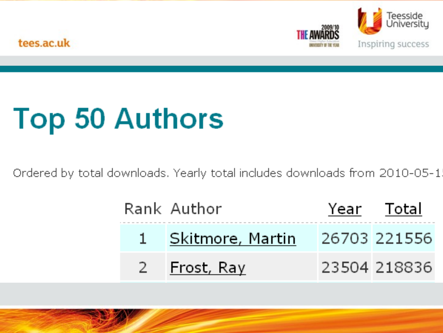

tees.ac.uk

# **Top 50 Authors**

Ordered by total downloads. Yearly total includes downloads from 2010-05-1.

|     | Rank Author        | Year Total   |
|-----|--------------------|--------------|
|     | 1 Skitmore, Martin | 26703 221556 |
| -27 | Frost, Ray         | 23504 218836 |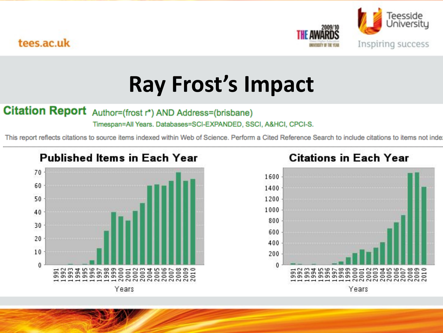



#### **Ray Frost's Impact**

#### Citation Report Author=(frost r\*) AND Address=(brisbane)

Timespan=All Years. Databases=SCI-EXPANDED, SSCI, A&HCI, CPCI-S.

This report reflects citations to source items indexed within Web of Science. Perform a Cited Reference Search to include citations to items not inde



#### **Citations in Each Year**

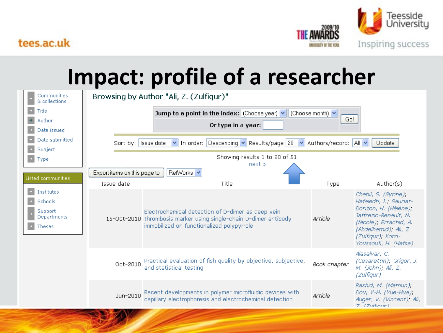



#### **[Impact: profile of a researcher](http://tees.openrepository.com/tees/handle/10149/97982)**

|                                                      | Communities<br>& collections                       | Browsing by Author "Ali, Z. (Zulfiqur)"                                                                                    |                                                                                                                                                                     |              |                                                                                                                                                                                                    |  |  |
|------------------------------------------------------|----------------------------------------------------|----------------------------------------------------------------------------------------------------------------------------|---------------------------------------------------------------------------------------------------------------------------------------------------------------------|--------------|----------------------------------------------------------------------------------------------------------------------------------------------------------------------------------------------------|--|--|
|                                                      | Title                                              | Jump to a point in the index: $ $ (Choose year) $\vee$<br>(Choose month) $\vee$                                            |                                                                                                                                                                     |              |                                                                                                                                                                                                    |  |  |
|                                                      | Author                                             | Go!<br>Or type in a year:                                                                                                  |                                                                                                                                                                     |              |                                                                                                                                                                                                    |  |  |
|                                                      | Date issued                                        |                                                                                                                            |                                                                                                                                                                     |              |                                                                                                                                                                                                    |  |  |
|                                                      | Date submitted                                     | $\vee$ In order: Descending $\vee$ Results/page 20<br>Authors/record: All<br>Sort by: Issue date<br>$\checkmark$<br>Update |                                                                                                                                                                     |              |                                                                                                                                                                                                    |  |  |
|                                                      | Subject                                            |                                                                                                                            |                                                                                                                                                                     |              |                                                                                                                                                                                                    |  |  |
|                                                      | Type                                               | Showing results 1 to 20 of 51                                                                                              |                                                                                                                                                                     |              |                                                                                                                                                                                                    |  |  |
| next ><br>Export items on this page to<br>RefWorks v |                                                    |                                                                                                                            |                                                                                                                                                                     |              |                                                                                                                                                                                                    |  |  |
|                                                      | Listed communities.                                | Issue date                                                                                                                 | Title                                                                                                                                                               |              | Author(s)                                                                                                                                                                                          |  |  |
|                                                      | Institutes                                         |                                                                                                                            |                                                                                                                                                                     | Type         |                                                                                                                                                                                                    |  |  |
|                                                      | Schools<br>Support<br>Departments<br><b>Theses</b> |                                                                                                                            | Electrochemical detection of D-dimer as deep vein<br>15-Oct-2010 thrombosis marker using single-chain D-dimer antibody<br>immobilized on functionalized polypyrrole | Article      | Chebil, S. (Syrine),<br>Hafaiedh, I., Sauriat-<br>Dorizon, H. (Hélène),<br>Jaffrezic-Renault, N.<br>(Nicole), Errachid, A.<br>(Abdelhamid), Ali, Z.<br>(Zulfiqur), Korri-<br>Youssoufi, H. (Hafsa) |  |  |
|                                                      |                                                    | Oct-2010                                                                                                                   | Practical evaluation of fish quality by objective, subjective,<br>and statistical testing                                                                           | Book chapter | Alasalvar, C.<br>(Cesarettin); Grigor, J.<br>M. (John); Ali, Z.<br>(Zulfiqur)                                                                                                                      |  |  |
|                                                      |                                                    | Jun-2010                                                                                                                   | Recent developments in polymer microfluidic devices with<br>capillary electrophoresis and electrochemical detection                                                 | Article      | Rashid, M. (Mamun),<br>Dou, Y-H. (Yue-Hua);<br>Auger, V. (Vincent); Ali,<br>$7/7$ ulfiour)                                                                                                         |  |  |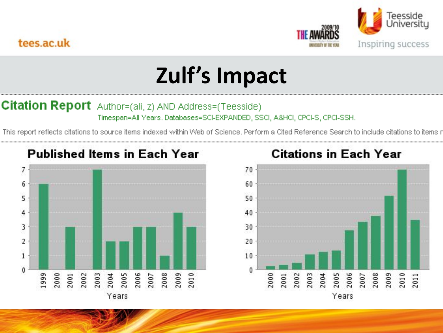



## **Zulf's Impact**

#### **Citation Report** Author=(ali, z) AND Address=(Teesside) Timespan=All Years, Databases=SCI-EXPANDED, SSCI, A&HCI, CPCI-S, CPCI-SSH.

This report reflects citations to source items indexed within Web of Science. Perform a Cited Reference Search to include citations to items r

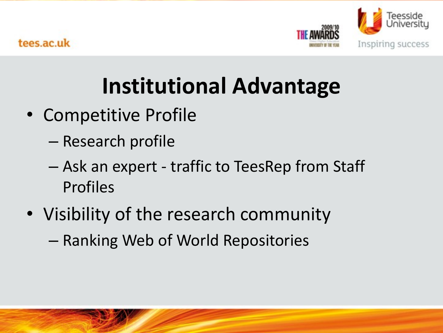

## **Institutional Advantage**

- Competitive Profile
	- Research profile
	- Ask an expert traffic to TeesRep from Staff Profiles
- Visibility of the research community
	- Ranking Web of World Repositories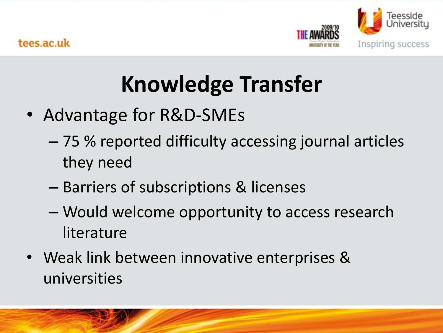

## **Knowledge Transfer**

- Advantage for R&D-SMEs
	- 75 % reported difficulty accessing journal articles they need
	- Barriers of subscriptions & licenses
	- Would welcome opportunity to access research literature
- Weak link between innovative enterprises & universities